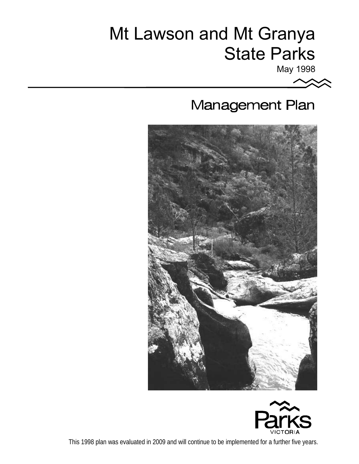# Mt Lawson and Mt Granya State Parks

May 1998

## Management Plan





This 1998 plan was evaluated in 2009 and will continue to be implemented for a further five years.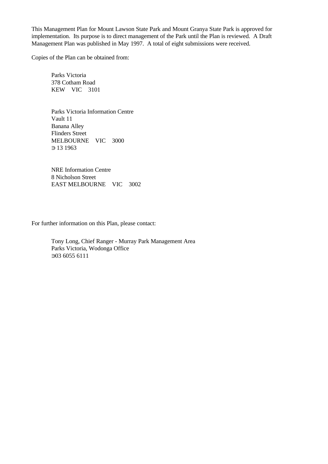This Management Plan for Mount Lawson State Park and Mount Granya State Park is approved for implementation. Its purpose is to direct management of the Park until the Plan is reviewed. A Draft Management Plan was published in May 1997. A total of eight submissions were received.

Copies of the Plan can be obtained from:

Parks Victoria 378 Cotham Road KEW VIC 3101

Parks Victoria Information Centre Vault 11 Banana Alley Flinders Street MELBOURNE VIC 3000 ∋ 13 1963

NRE Information Centre 8 Nicholson Street EAST MELBOURNE VIC 3002

For further information on this Plan, please contact:

Tony Long, Chief Ranger - Murray Park Management Area Parks Victoria, Wodonga Office ∋ 03 6055 6111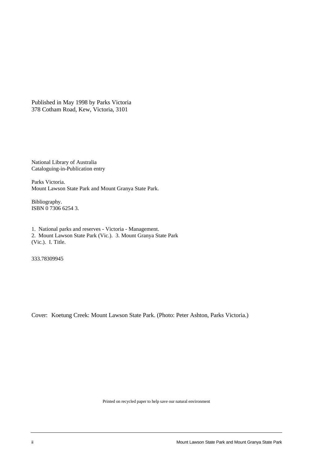Published in May 1998 by Parks Victoria 378 Cotham Road, Kew, Victoria, 3101

National Library of Australia Cataloguing-in-Publication entry

Parks Victoria. Mount Lawson State Park and Mount Granya State Park.

Bibliography. ISBN 0 7306 6254 3.

1. National parks and reserves - Victoria - Management. 2. Mount Lawson State Park (Vic.). 3. Mount Granya State Park (Vic.). I. Title.

333.78309945

Cover: Koetung Creek: Mount Lawson State Park. (Photo: Peter Ashton, Parks Victoria.)

Printed on recycled paper to help save our natural environment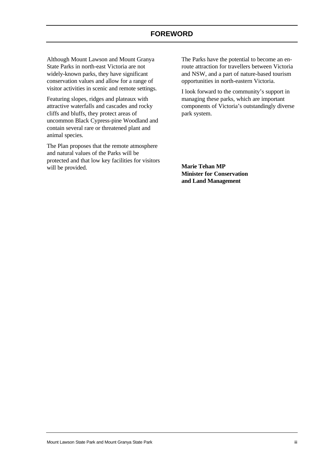<span id="page-3-0"></span>Although Mount Lawson and Mount Granya State Parks in north-east Victoria are not widely-known parks, they have significant conservation values and allow for a range of visitor activities in scenic and remote settings.

Featuring slopes, ridges and plateaux with attractive waterfalls and cascades and rocky cliffs and bluffs, they protect areas of uncommon Black Cypress-pine Woodland and contain several rare or threatened plant and animal species.

The Plan proposes that the remote atmosphere and natural values of the Parks will be protected and that low key facilities for visitors will be provided.

The Parks have the potential to become an enroute attraction for travellers between Victoria and NSW, and a part of nature-based tourism opportunities in north-eastern Victoria.

I look forward to the community's support in managing these parks, which are important components of Victoria's outstandingly diverse park system.

**Marie Tehan MP Minister for Conservation and Land Management**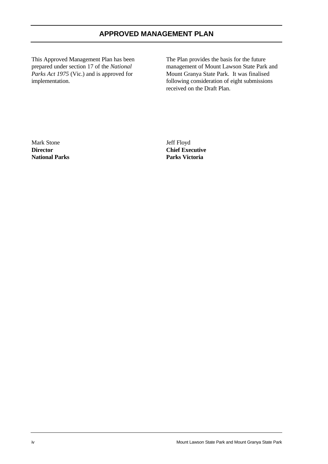This Approved Management Plan has been prepared under section 17 of the *National Parks Act 1975* (Vic.) and is approved for implementation.

The Plan provides the basis for the future management of Mount Lawson State Park and Mount Granya State Park. It was finalised following consideration of eight submissions received on the Draft Plan.

Mark Stone **Director National Parks** Jeff Floyd **Chief Executive Parks Victoria**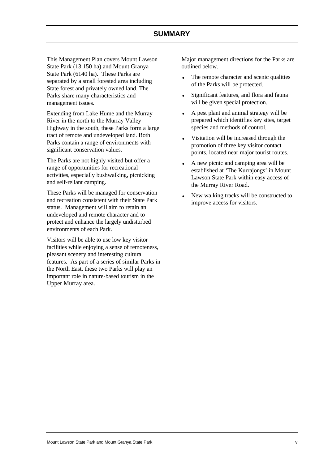<span id="page-5-0"></span>This Management Plan covers Mount Lawson State Park (13 150 ha) and Mount Granya State Park (6140 ha). These Parks are separated by a small forested area including State forest and privately owned land. The Parks share many characteristics and management issues.

Extending from Lake Hume and the Murray River in the north to the Murray Valley Highway in the south, these Parks form a large tract of remote and undeveloped land. Both Parks contain a range of environments with significant conservation values.

The Parks are not highly visited but offer a range of opportunities for recreational activities, especially bushwalking, picnicking and self-reliant camping.

These Parks will be managed for conservation and recreation consistent with their State Park status. Management will aim to retain an undeveloped and remote character and to protect and enhance the largely undisturbed environments of each Park.

Visitors will be able to use low key visitor facilities while enjoying a sense of remoteness, pleasant scenery and interesting cultural features. As part of a series of similar Parks in the North East, these two Parks will play an important role in nature-based tourism in the Upper Murray area.

Major management directions for the Parks are outlined below.

- The remote character and scenic qualities of the Parks will be protected.
- Significant features, and flora and fauna will be given special protection.
- A pest plant and animal strategy will be prepared which identifies key sites, target species and methods of control.
- Visitation will be increased through the promotion of three key visitor contact points, located near major tourist routes.
- A new picnic and camping area will be established at 'The Kurrajongs' in Mount Lawson State Park within easy access of the Murray River Road.
- New walking tracks will be constructed to improve access for visitors.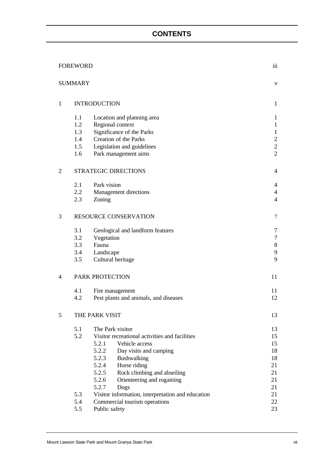## **CONTENTS**

|                | <b>FOREWORD</b> |                                                          | iii              |  |  |  |
|----------------|-----------------|----------------------------------------------------------|------------------|--|--|--|
|                | <b>SUMMARY</b>  |                                                          | V                |  |  |  |
| $\mathbf{1}$   |                 | <b>INTRODUCTION</b>                                      | $\mathbf{1}$     |  |  |  |
|                | 1.1             | Location and planning area                               | 1                |  |  |  |
|                | 1.2             | Regional context                                         | $\mathbf{1}$     |  |  |  |
|                | 1.3             | Significance of the Parks                                | $\mathbf{1}$     |  |  |  |
|                | 1.4             | Creation of the Parks                                    | $\boldsymbol{2}$ |  |  |  |
|                | 1.5             | Legislation and guidelines                               | $\overline{2}$   |  |  |  |
|                | 1.6             | Park management aims                                     | $\overline{2}$   |  |  |  |
| $\overline{2}$ |                 | STRATEGIC DIRECTIONS                                     | $\overline{4}$   |  |  |  |
|                | 2.1             | Park vision                                              | 4                |  |  |  |
|                | $2.2\,$         | Management directions                                    | $\overline{4}$   |  |  |  |
|                | 2.3             | Zoning                                                   | $\overline{4}$   |  |  |  |
| 3              |                 | <b>RESOURCE CONSERVATION</b>                             | 7                |  |  |  |
|                | 3.1             | Geological and landform features                         | 7                |  |  |  |
|                | 3.2             | Vegetation                                               | 7                |  |  |  |
|                | 3.3             | Fauna                                                    | 8                |  |  |  |
|                | 3.4             | Landscape                                                | 9                |  |  |  |
|                | 3.5             | Cultural heritage                                        | 9                |  |  |  |
| 4              |                 | PARK PROTECTION                                          | 11               |  |  |  |
|                | 4.1             | Fire management                                          | 11               |  |  |  |
|                | 4.2             | Pest plants and animals, and diseases                    | 12               |  |  |  |
| 5              |                 | THE PARK VISIT                                           | 13               |  |  |  |
|                | 5.1             | The Park visitor                                         | 13               |  |  |  |
|                | 5.2             | Visitor recreational activities and facilities           | 15               |  |  |  |
|                |                 | 5.2.1<br>Vehicle access                                  | 15               |  |  |  |
|                |                 | 5.2.2<br>Day visits and camping                          | 18               |  |  |  |
|                |                 | 5.2.3<br>Bushwalking                                     | 18               |  |  |  |
|                |                 | Horse riding<br>5.2.4                                    | 21               |  |  |  |
|                |                 | Rock climbing and abseiling<br>5.2.5                     | 21               |  |  |  |
|                |                 | 5.2.6<br>Orienteering and rogaining                      | 21               |  |  |  |
|                |                 | 5.2.7<br>Dogs                                            | 21<br>21         |  |  |  |
|                |                 | 5.3<br>Visitor information, interpretation and education |                  |  |  |  |
|                | 5.4             | Commercial tourism operations                            | 22<br>23         |  |  |  |
|                |                 | Public safety<br>5.5                                     |                  |  |  |  |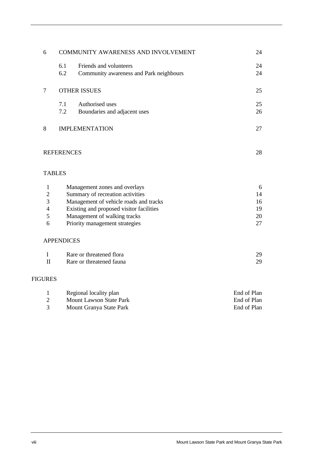| 6              | COMMUNITY AWARENESS AND INVOLVEMENT            | 24          |
|----------------|------------------------------------------------|-------------|
|                | Friends and volunteers<br>6.1                  | 24          |
|                | 6.2<br>Community awareness and Park neighbours | 24          |
| $\tau$         | <b>OTHER ISSUES</b>                            | 25          |
|                | 7.1<br>Authorised uses                         | 25          |
|                | 7.2<br>Boundaries and adjacent uses            | 26          |
| 8              | <b>IMPLEMENTATION</b>                          | 27          |
|                | <b>REFERENCES</b>                              | 28          |
| <b>TABLES</b>  |                                                |             |
| $\mathbf{1}$   | Management zones and overlays                  | 6           |
| $\overline{2}$ | Summary of recreation activities               | 14          |
| 3              | Management of vehicle roads and tracks         | 16          |
| $\overline{4}$ | Existing and proposed visitor facilities       | 19          |
| 5              | Management of walking tracks                   | 20          |
| 6              | Priority management strategies                 | 27          |
|                | <b>APPENDICES</b>                              |             |
| $\bf I$        | Rare or threatened flora                       | 29          |
| $\mathbf{I}$   | Rare or threatened fauna                       | 29          |
| <b>FIGURES</b> |                                                |             |
| 1              | Regional locality plan                         | End of Plan |
| $\overline{2}$ | <b>Mount Lawson State Park</b>                 | End of Plan |

3 Mount Granya State Park End of Plan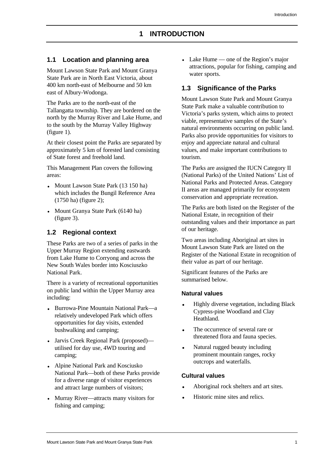## <span id="page-9-1"></span><span id="page-9-0"></span>**1.1 Location and planning area**

<span id="page-9-3"></span>Mount Lawson State Park and Mount Granya State Park are in North East Victoria, about 400 km north-east of Melbourne and 50 km east of Albury-Wodonga.

The Parks are to the north-east of the Tallangatta township. They are bordered on the north by the Murray River and Lake Hume, and to the south by the Murray Valley Highway (figure 1).

At their closest point the Parks are separated by approximately 5 km of forested land consisting of State forest and freehold land.

This Management Plan covers the following areas:

- <span id="page-9-2"></span>• Mount Lawson State Park (13 150 ha) which includes the Bungil Reference Area (1750 ha) (figure 2);
- Mount Granya State Park (6140 ha) (figure 3).

## **1.2 Regional context**

These Parks are two of a series of parks in the Upper Murray Region extending eastwards from Lake Hume to Corryong and across the New South Wales border into Kosciuszko National Park.

There is a variety of recreational opportunities on public land within the Upper Murray area including:

- Burrowa-Pine Mountain National Park—a relatively undeveloped Park which offers opportunities for day visits, extended bushwalking and camping;
- Jarvis Creek Regional Park (proposed) utilised for day use, 4WD touring and camping;
- Alpine National Park and Kosciusko National Park—both of these Parks provide for a diverse range of visitor experiences and attract large numbers of visitors;
- Murray River—attracts many visitors for fishing and camping;

• Lake Hume — one of the Region's major attractions, popular for fishing, camping and water sports.

#### **1.3 Significance of the Parks**

Mount Lawson State Park and Mount Granya State Park make a valuable contribution to Victoria's parks system, which aims to protect viable, representative samples of the State's natural environments occurring on public land. Parks also provide opportunities for visitors to enjoy and appreciate natural and cultural values, and make important contributions to tourism.

The Parks are assigned the IUCN Category II (National Parks) of the United Nations' List of National Parks and Protected Areas. Category II areas are managed primarily for ecosystem conservation and appropriate recreation.

The Parks are both listed on the Register of the National Estate, in recognition of their outstanding values and their importance as part of our heritage.

Two areas including Aboriginal art sites in Mount Lawson State Park are listed on the Register of the National Estate in recognition of their value as part of our heritage.

Significant features of the Parks are summarised below.

#### **Natural values**

- Highly diverse vegetation, including Black Cypress-pine Woodland and Clay Heathland.
- The occurrence of several rare or threatened flora and fauna species.
- Natural rugged beauty including prominent mountain ranges, rocky outcrops and waterfalls.

#### **Cultural values**

- Aboriginal rock shelters and art sites.
- Historic mine sites and relics.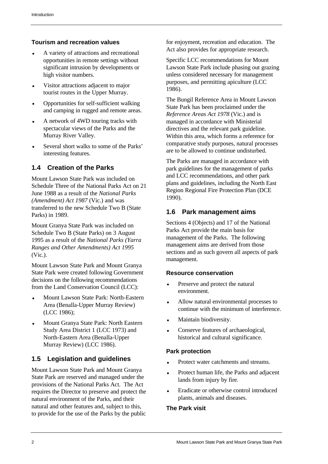## **Tourism and recreation values**

- A variety of attractions and recreational opportunities in remote settings without significant intrusion by developments or high visitor numbers.
- Visitor attractions adjacent to major tourist routes in the Upper Murray.
- Opportunities for self-sufficient walking and camping in rugged and remote areas.
- A network of 4WD touring tracks with spectacular views of the Parks and the Murray River Valley.
- Several short walks to some of the Parks' interesting features.

## <span id="page-10-0"></span>**1.4 Creation of the Parks**

<span id="page-10-1"></span>Mount Lawson State Park was included on Schedule Three of the National Parks Act on 21 June 1988 as a result of the *National Parks (Amendment) Act 1987* (Vic.) and was transferred to the new Schedule Two B (State Parks) in 1989.

Mount Granya State Park was included on Schedule Two B (State Parks) on 3 August 1995 as a result of the *National Parks (Yarra Ranges and Other Amendments) Act 1995* (Vic.).

Mount Lawson State Park and Mount Granya State Park were created following Government decisions on the following recommendations from the Land Conservation Council (LCC):

- Mount Lawson State Park: North-Eastern Area (Benalla-Upper Murray Review) (LCC 1986);
- Mount Granya State Park: North Eastern Study Area District 1 (LCC 1973) and North-Eastern Area (Benalla-Upper Murray Review) (LCC 1986).

## **1.5 Legislation and guidelines**

Mount Lawson State Park and Mount Granya State Park are reserved and managed under the provisions of the National Parks Act. The Act requires the Director to preserve and protect the natural environment of the Parks, and their natural and other features and, subject to this, to provide for the use of the Parks by the public

for enjoyment, recreation and education. The Act also provides for appropriate research.

Specific LCC recommendations for Mount Lawson State Park include phasing out grazing unless considered necessary for management purposes, and permitting apiculture (LCC 1986).

The Bungil Reference Area in Mount Lawson State Park has been proclaimed under the *Reference Areas Act 1978* (Vic.) and is managed in accordance with Ministerial directives and the relevant park guideline. Within this area, which forms a reference for comparative study purposes, natural processes are to be allowed to continue undisturbed.

The Parks are managed in accordance with park guidelines for the management of parks and LCC recommendations, and other park plans and guidelines, including the North East Region Regional Fire Protection Plan (DCE 1990).

## **1.6 Park management aims**

Sections 4 (Objects) and 17 of the National Parks Act provide the main basis for management of the Parks. The following management aims are derived from those sections and as such govern all aspects of park management.

## **Resource conservation**

- Preserve and protect the natural environment.
- Allow natural environmental processes to continue with the minimum of interference.
- Maintain biodiversity.
- Conserve features of archaeological, historical and cultural significance.

## **Park protection**

- Protect water catchments and streams.
- Protect human life, the Parks and adjacent lands from injury by fire.
- Eradicate or otherwise control introduced plants, animals and diseases.

## **The Park visit**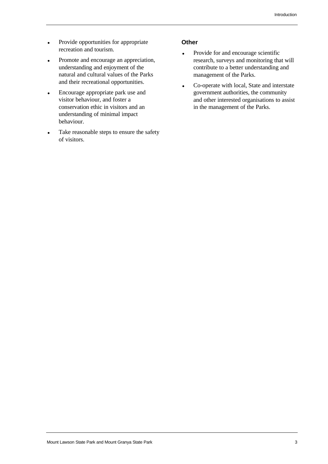- Provide opportunities for appropriate recreation and tourism.
- Promote and encourage an appreciation, understanding and enjoyment of the natural and cultural values of the Parks and their recreational opportunities.
- Encourage appropriate park use and visitor behaviour, and foster a conservation ethic in visitors and an understanding of minimal impact behaviour.
- Take reasonable steps to ensure the safety of visitors.

#### **Other**

- Provide for and encourage scientific research, surveys and monitoring that will contribute to a better understanding and management of the Parks.
- Co-operate with local, State and interstate government authorities, the community and other interested organisations to assist in the management of the Parks.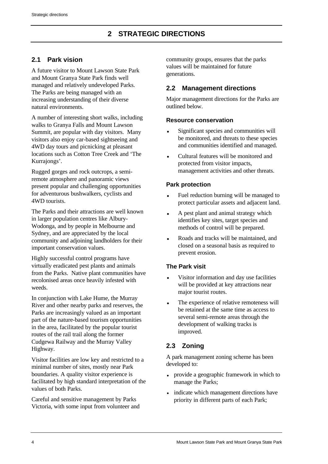## <span id="page-12-1"></span><span id="page-12-0"></span>**2.1 Park vision**

<span id="page-12-2"></span>A future visitor to Mount Lawson State Park and Mount Granya State Park finds well managed and relatively undeveloped Parks. The Parks are being managed with an increasing understanding of their diverse natural environments.

A number of interesting short walks, including walks to Granya Falls and Mount Lawson Summit, are popular with day visitors. Many visitors also enjoy car-based sightseeing and 4WD day tours and picnicking at pleasant locations such as Cotton Tree Creek and 'The Kurrajongs'.

Rugged gorges and rock outcrops, a semiremote atmosphere and panoramic views present popular and challenging opportunities for adventurous bushwalkers, cyclists and 4WD tourists.

<span id="page-12-3"></span>The Parks and their attractions are well known in larger population centres like Albury-Wodonga, and by people in Melbourne and Sydney, and are appreciated by the local community and adjoining landholders for their important conservation values.

Highly successful control programs have virtually eradicated pest plants and animals from the Parks. Native plant communities have recolonised areas once heavily infested with weeds.

In conjunction with Lake Hume, the Murray River and other nearby parks and reserves, the Parks are increasingly valued as an important part of the nature-based tourism opportunities in the area, facilitated by the popular tourist routes of the rail trail along the former Cudgewa Railway and the Murray Valley Highway.

Visitor facilities are low key and restricted to a minimal number of sites, mostly near Park boundaries. A quality visitor experience is facilitated by high standard interpretation of the values of both Parks.

Careful and sensitive management by Parks Victoria, with some input from volunteer and community groups, ensures that the parks values will be maintained for future generations.

## **2.2 Management directions**

Major management directions for the Parks are outlined below.

## **Resource conservation**

- Significant species and communities will be monitored, and threats to these species and communities identified and managed.
- Cultural features will be monitored and protected from visitor impacts, management activities and other threats.

## **Park protection**

- Fuel reduction burning will be managed to protect particular assets and adjacent land.
- A pest plant and animal strategy which identifies key sites, target species and methods of control will be prepared.
- Roads and tracks will be maintained, and closed on a seasonal basis as required to prevent erosion.

## **The Park visit**

- Visitor information and day use facilities will be provided at key attractions near major tourist routes.
- The experience of relative remoteness will be retained at the same time as access to several semi-remote areas through the development of walking tracks is improved.

## **2.3 Zoning**

A park management zoning scheme has been developed to:

- provide a geographic framework in which to manage the Parks;
- indicate which management directions have priority in different parts of each Park;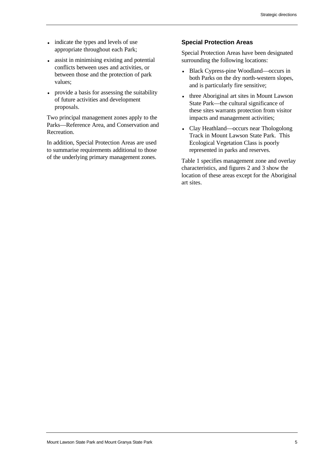- indicate the types and levels of use appropriate throughout each Park;
- assist in minimising existing and potential conflicts between uses and activities, or between those and the protection of park values;
- provide a basis for assessing the suitability of future activities and development proposals.

Two principal management zones apply to the Parks—Reference Area, and Conservation and Recreation.

In addition, Special Protection Areas are used to summarise requirements additional to those of the underlying primary management zones.

#### **Special Protection Areas**

Special Protection Areas have been designated surrounding the following locations:

- Black Cypress-pine Woodland—occurs in both Parks on the dry north-western slopes, and is particularly fire sensitive;
- three Aboriginal art sites in Mount Lawson State Park—the cultural significance of these sites warrants protection from visitor impacts and management activities;
- Clay Heathland—occurs near Thologolong Track in Mount Lawson State Park. This Ecological Vegetation Class is poorly represented in parks and reserves.

Table 1 specifies management zone and overlay characteristics, and figures 2 and 3 show the location of these areas except for the Aboriginal art sites.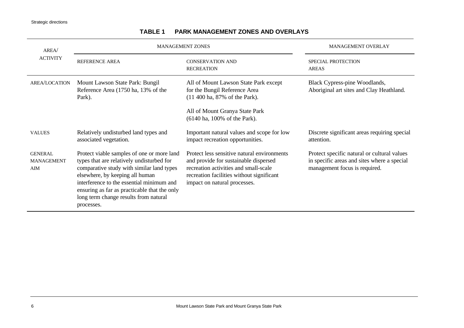## **TABLE 1 PARK MANAGEMENT ZONES AND OVERLAYS**

<span id="page-14-0"></span>

| AREA/                                      | <b>MANAGEMENT ZONES</b>                                                                                                                                                                                                                                                                                                     | <b>MANAGEMENT OVERLAY</b>                                                                                                                                                                                  |                                                                                                                             |
|--------------------------------------------|-----------------------------------------------------------------------------------------------------------------------------------------------------------------------------------------------------------------------------------------------------------------------------------------------------------------------------|------------------------------------------------------------------------------------------------------------------------------------------------------------------------------------------------------------|-----------------------------------------------------------------------------------------------------------------------------|
| <b>ACTIVITY</b>                            | <b>REFERENCE AREA</b>                                                                                                                                                                                                                                                                                                       | <b>CONSERVATION AND</b><br><b>RECREATION</b>                                                                                                                                                               | SPECIAL PROTECTION<br><b>AREAS</b>                                                                                          |
| AREA/LOCATION                              | Mount Lawson State Park: Bungil<br>Reference Area (1750 ha, 13% of the<br>Park).                                                                                                                                                                                                                                            | All of Mount Lawson State Park except<br>for the Bungil Reference Area<br>(11 400 ha, 87% of the Park).<br>All of Mount Granya State Park<br>(6140 ha, 100% of the Park).                                  | Black Cypress-pine Woodlands,<br>Aboriginal art sites and Clay Heathland.                                                   |
| <b>VALUES</b>                              | Relatively undisturbed land types and<br>associated vegetation.                                                                                                                                                                                                                                                             | Important natural values and scope for low<br>impact recreation opportunities.                                                                                                                             | Discrete significant areas requiring special<br>attention.                                                                  |
| <b>GENERAL</b><br><b>MANAGEMENT</b><br>AIM | Protect viable samples of one or more land<br>types that are relatively undisturbed for<br>comparative study with similar land types<br>elsewhere, by keeping all human<br>interference to the essential minimum and<br>ensuring as far as practicable that the only<br>long term change results from natural<br>processes. | Protect less sensitive natural environments<br>and provide for sustainable dispersed<br>recreation activities and small-scale<br>recreation facilities without significant<br>impact on natural processes. | Protect specific natural or cultural values<br>in specific areas and sites where a special<br>management focus is required. |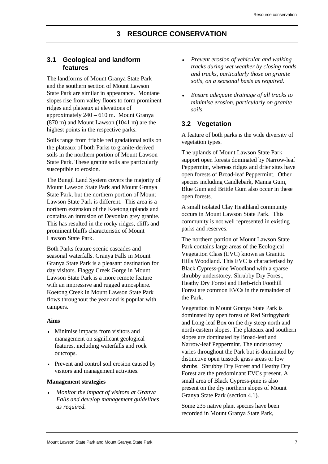## **3 RESOURCE CONSERVATION**

## <span id="page-15-1"></span><span id="page-15-0"></span>**3.1 Geological and landform features**

The landforms of Mount Granya State Park and the southern section of Mount Lawson State Park are similar in appearance. Montane slopes rise from valley floors to form prominent ridges and plateaux at elevations of approximately 240 – 610 m. Mount Granya (870 m) and Mount Lawson (1041 m) are the highest points in the respective parks.

<span id="page-15-2"></span>Soils range from friable red gradational soils on the plateaux of both Parks to granite-derived soils in the northern portion of Mount Lawson State Park. These granite soils are particularly susceptible to erosion.

The Bungil Land System covers the majority of Mount Lawson State Park and Mount Granya State Park, but the northern portion of Mount Lawson State Park is different. This area is a northern extension of the Koetong uplands and contains an intrusion of Devonian grey granite. This has resulted in the rocky ridges, cliffs and prominent bluffs characteristic of Mount Lawson State Park.

Both Parks feature scenic cascades and seasonal waterfalls. Granya Falls in Mount Granya State Park is a pleasant destination for day visitors. Flaggy Creek Gorge in Mount Lawson State Park is a more remote feature with an impressive and rugged atmosphere. Koetong Creek in Mount Lawson State Park flows throughout the year and is popular with campers.

#### **Aims**

- Minimise impacts from visitors and management on significant geological features, including waterfalls and rock outcrops.
- Prevent and control soil erosion caused by visitors and management activities.

#### **Management strategies**

• *Monitor the impact of visitors at Granya Falls and develop management guidelines as required.*

- *Prevent erosion of vehicular and walking tracks during wet weather by closing roads and tracks, particularly those on granite soils, on a seasonal basis as required.*
- *Ensure adequate drainage of all tracks to minimise erosion, particularly on granite soils.*

## **3.2 Vegetation**

A feature of both parks is the wide diversity of vegetation types.

The uplands of Mount Lawson State Park support open forests dominated by Narrow-leaf Peppermint, whereas ridges and drier sites have open forests of Broad-leaf Peppermint*.* Other species including Candlebark*,* Manna Gum, Blue Gum and Brittle Gum also occur in these open forests.

A small isolated Clay Heathland community occurs in Mount Lawson State Park. This community is not well represented in existing parks and reserves.

The northern portion of Mount Lawson State Park contains large areas of the Ecological Vegetation Class (EVC) known as Granitic Hills Woodland. This EVC is characterised by Black Cypress-pine Woodland with a sparse shrubby understorey. Shrubby Dry Forest, Heathy Dry Forest and Herb-rich Foothill Forest are common EVCs in the remainder of the Park.

Vegetation in Mount Granya State Park is dominated by open forest of Red Stringybark and Long-leaf Box on the dry steep north and north-eastern slopes. The plateaux and southern slopes are dominated by Broad-leaf and Narrow-leaf Peppermint. The understorey varies throughout the Park but is dominated by distinctive open tussock grass areas or low shrubs. Shrubby Dry Forest and Heathy Dry Forest are the predominant EVCs present. A small area of Black Cypress-pine is also present on the dry northern slopes of Mount Granya State Park (section 4.1).

Some 235 native plant species have been recorded in Mount Granya State Park,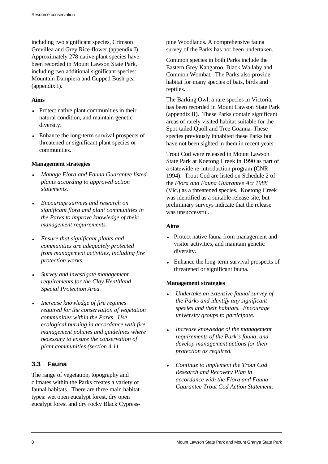including two significant species, Crimson Grevillea and Grey Rice-flower (appendix I). Approximately 278 native plant species have been recorded in Mount Lawson State Park, including two additional significant species: Mountain Dampiera and Cupped Bush-pea (appendix I)*.*

### **Aims**

- Protect native plant communities in their natural condition, and maintain genetic diversity.
- Enhance the long-term survival prospects of threatened or significant plant species or communities.

#### **Management strategies**

- *Manage Flora and Fauna Guarantee listed plants according to approved action statements.*
- <span id="page-16-0"></span>• *Encourage surveys and research on significant flora and plant communities in the Parks to improve knowledge of their management requirements.*
- *Ensure that significant plants and communities are adequately protected from management activities, including fire protection works.*
- *Survey and investigate management requirements for the Clay Heathland Special Protection Area.*
- *Increase knowledge of fire regimes required for the conservation of vegetation communities within the Parks. Use ecological burning in accordance with fire management policies and guidelines where necessary to ensure the conservation of plant communities (section 4.1).*

## **3.3 Fauna**

The range of vegetation, topography and climates within the Parks creates a variety of faunal habitats. There are three main habitat types: wet open eucalypt forest, dry open eucalypt forest and dry rocky Black Cypresspine Woodlands. A comprehensive fauna survey of the Parks has not been undertaken.

Common species in both Parks include the Eastern Grey Kangaroo*,* Black Wallaby and Common Wombat*.* The Parks also provide habitat for many species of bats, birds and reptiles.

The Barking Owl, a rare species in Victoria, has been recorded in Mount Lawson State Park (appendix II). These Parks contain significant areas of rarely visited habitat suitable for the Spot-tailed Quoll and Tree Goanna*.* These species previously inhabited these Parks but have not been sighted in them in recent years.

Trout Cod were released in Mount Lawson State Park at Koetong Creek in 1990 as part of a statewide re-introduction program (CNR 1994). Trout Cod are listed on Schedule 2 of the *Flora and Fauna Guarantee Act 1988* (Vic.) as a threatened species. Koetong Creek was identified as a suitable release site, but preliminary surveys indicate that the release was unsuccessful.

#### **Aims**

- Protect native fauna from management and visitor activities, and maintain genetic diversity.
- Enhance the long-term survival prospects of threatened or significant fauna.

- *Undertake an extensive faunal survey of the Parks and identify any significant species and their habitats. Encourage university groups to participate.*
- *Increase knowledge of the management requirements of the Park's fauna, and develop management actions for their protection as required.*
- *Continue to implement the Trout Cod Research and Recovery Plan in accordance with the Flora and Fauna Guarantee Trout Cod Action Statement.*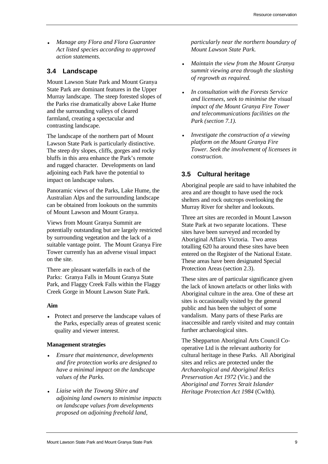• *Manage any Flora and Flora Guarantee Act listed species according to approved action statements.*

## <span id="page-17-0"></span>**3.4 Landscape**

Mount Lawson State Park and Mount Granya State Park are dominant features in the Upper Murray landscape. The steep forested slopes of the Parks rise dramatically above Lake Hume and the surrounding valleys of cleared farmland, creating a spectacular and contrasting landscape.

The landscape of the northern part of Mount Lawson State Park is particularly distinctive. The steep dry slopes, cliffs, gorges and rocky bluffs in this area enhance the Park's remote and rugged character. Developments on land adjoining each Park have the potential to impact on landscape values.

<span id="page-17-1"></span>Panoramic views of the Parks, Lake Hume, the Australian Alps and the surrounding landscape can be obtained from lookouts on the summits of Mount Lawson and Mount Granya.

Views from Mount Granya Summit are potentially outstanding but are largely restricted by surrounding vegetation and the lack of a suitable vantage point. The Mount Granya Fire Tower currently has an adverse visual impact on the site.

There are pleasant waterfalls in each of the Parks: Granya Falls in Mount Granya State Park, and Flaggy Creek Falls within the Flaggy Creek Gorge in Mount Lawson State Park.

#### **Aim**

• Protect and preserve the landscape values of the Parks, especially areas of greatest scenic quality and viewer interest.

#### **Management strategies**

- *Ensure that maintenance, developments and fire protection works are designed to have a minimal impact on the landscape values of the Parks.*
- *Liaise with the Towong Shire and adjoining land owners to minimise impacts on landscape values from developments proposed on adjoining freehold land,*

*particularly near the northern boundary of Mount Lawson State Park.*

- *Maintain the view from the Mount Granya summit viewing area through the slashing of regrowth as required.*
- *In consultation with the Forests Service and licensees, seek to minimise the visual impact of the Mount Granya Fire Tower and telecommunications facilities on the Park (section 7.1).*
- *Investigate the construction of a viewing platform on the Mount Granya Fire Tower. Seek the involvement of licensees in construction.*

## **3.5 Cultural heritage**

Aboriginal people are said to have inhabited the area and are thought to have used the rock shelters and rock outcrops overlooking the Murray River for shelter and lookouts.

Three art sites are recorded in Mount Lawson State Park at two separate locations. These sites have been surveyed and recorded by Aboriginal Affairs Victoria. Two areas totalling 620 ha around these sites have been entered on the Register of the National Estate. These areas have been designated Special Protection Areas (section 2.3).

These sites are of particular significance given the lack of known artefacts or other links with Aboriginal culture in the area. One of these art sites is occasionally visited by the general public and has been the subject of some vandalism. Many parts of these Parks are inaccessible and rarely visited and may contain further archaeological sites.

The Shepparton Aboriginal Arts Council Cooperative Ltd is the relevant authority for cultural heritage in these Parks. All Aboriginal sites and relics are protected under the *Archaeological and Aboriginal Relics Preservation Act 1972* (Vic.) and the *Aboriginal and Torres Strait Islander Heritage Protection Act 1984* (Cwlth).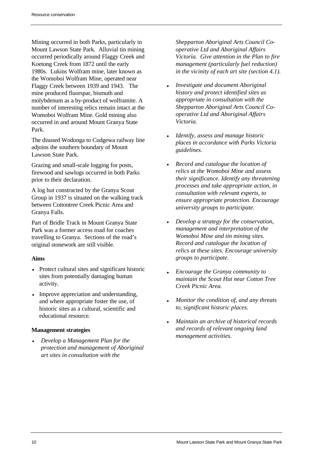Mining occurred in both Parks, particularly in Mount Lawson State Park. Alluvial tin mining occurred periodically around Flaggy Creek and Koetong Creek from 1872 until the early 1980s. Lukins Wolfram mine, later known as the Womoboi Wolfram Mine, operated near Flaggy Creek between 1939 and 1943. The mine produced fluorspar, bismuth and molybdenum as a by-product of wolframite. A number of interesting relics remain intact at the Womoboi Wolfram Mine. Gold mining also occurred in and around Mount Granya State Park.

The disused Wodonga to Cudgewa railway line adjoins the southern boundary of Mount Lawson State Park.

Grazing and small-scale logging for posts, firewood and sawlogs occurred in both Parks prior to their declaration.

A log hut constructed by the Granya Scout Group in 1937 is situated on the walking track between Cottontree Creek Picnic Area and Granya Falls.

Part of Bridle Track in Mount Granya State Park was a former access road for coaches travelling to Granya. Sections of the road's original stonework are still visible.

#### **Aims**

- Protect cultural sites and significant historic sites from potentially damaging human activity.
- Improve appreciation and understanding, and where appropriate foster the use, of historic sites as a cultural, scientific and educational resource.

## **Management strategies**

• *Develop a Management Plan for the protection and management of Aboriginal art sites in consultation with the*

*Shepparton Aboriginal Arts Council Cooperative Ltd and Aboriginal Affairs Victoria. Give attention in the Plan to fire management (particularly fuel reduction) in the vicinity of each art site (section 4.1).*

- *Investigate and document Aboriginal history and protect identified sites as appropriate in consultation with the Shepparton Aboriginal Arts Council Cooperative Ltd and Aboriginal Affairs Victoria.*
- *Identify, assess and manage historic places in accordance with Parks Victoria guidelines.*
- *Record and catalogue the location of relics at the Womoboi Mine and assess their significance. Identify any threatening processes and take appropriate action, in consultation with relevant experts, to ensure appropriate protection. Encourage university groups to participate.*
- *Develop a strategy for the conservation, management and interpretation of the Womoboi Mine and tin mining sites. Record and catalogue the location of relics at these sites. Encourage university groups to participate.*
- *Encourage the Granya community to maintain the Scout Hut near Cotton Tree Creek Picnic Area.*
- *Monitor the condition of, and any threats to, significant historic places.*
- *Maintain an archive of historical records and records of relevant ongoing land management activities.*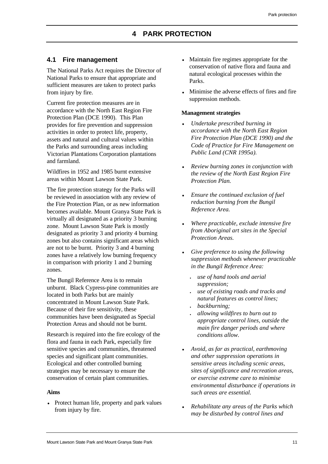## <span id="page-19-1"></span><span id="page-19-0"></span>**4.1 Fire management**

The National Parks Act requires the Director of National Parks to ensure that appropriate and sufficient measures are taken to protect parks from injury by fire.

Current fire protection measures are in accordance with the North East Region Fire Protection Plan (DCE 1990). This Plan provides for fire prevention and suppression activities in order to protect life, property, assets and natural and cultural values within the Parks and surrounding areas including Victorian Plantations Corporation plantations and farmland.

Wildfires in 1952 and 1985 burnt extensive areas within Mount Lawson State Park.

The fire protection strategy for the Parks will be reviewed in association with any review of the Fire Protection Plan, or as new information becomes available. Mount Granya State Park is virtually all designated as a priority 3 burning zone. Mount Lawson State Park is mostly designated as priority 3 and priority 4 burning zones but also contains significant areas which are not to be burnt. Priority 3 and 4 burning zones have a relatively low burning frequency in comparison with priority 1 and 2 burning zones.

The Bungil Reference Area is to remain unburnt. Black Cypress-pine communities are located in both Parks but are mainly concentrated in Mount Lawson State Park. Because of their fire sensitivity, these communities have been designated as Special Protection Areas and should not be burnt.

Research is required into the fire ecology of the flora and fauna in each Park, especially fire sensitive species and communities, threatened species and significant plant communities. Ecological and other controlled burning strategies may be necessary to ensure the conservation of certain plant communities.

#### **Aims**

• Protect human life, property and park values from injury by fire.

- Maintain fire regimes appropriate for the conservation of native flora and fauna and natural ecological processes within the Parks.
- Minimise the adverse effects of fires and fire suppression methods.

- *Undertake prescribed burning in accordance with the North East Region Fire Protection Plan (DCE 1990) and the Code of Practice for Fire Management on Public Land (CNR 1995a).*
- *Review burning zones in conjunction with the review of the North East Region Fire Protection Plan.*
- *Ensure the continued exclusion of fuel reduction burning from the Bungil Reference Area.*
- *Where practicable, exclude intensive fire from Aboriginal art sites in the Special Protection Areas.*
- *Give preference to using the following suppression methods whenever practicable in the Bungil Reference Area:*
	- *use of hand tools and aerial suppression;*
	- *use of existing roads and tracks and natural features as control lines;*
	- *backburning;*
	- *allowing wildfires to burn out to appropriate control lines, outside the main fire danger periods and where conditions allow.*
- *Avoid, as far as practical, earthmoving and other suppression operations in sensitive areas including scenic areas, sites of significance and recreation areas, or exercise extreme care to minimise environmental disturbance if operations in such areas are essential.*
- *Rehabilitate any areas of the Parks which may be disturbed by control lines and*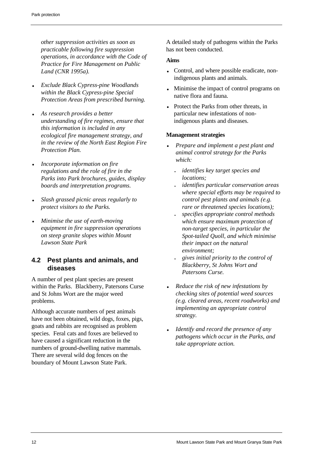*other suppression activities as soon as practicable following fire suppression operations, in accordance with the Code of Practice for Fire Management on Public Land (CNR 1995a).*

- *Exclude Black Cypress-pine Woodlands within the Black Cypress-pine Special Protection Areas from prescribed burning.*
- *As research provides a better understanding of fire regimes, ensure that this information is included in any ecological fire management strategy, and in the review of the North East Region Fire Protection Plan.*
- *Incorporate information on fire regulations and the role of fire in the Parks into Park brochures, guides, display boards and interpretation programs.*
- <span id="page-20-0"></span>• *Slash grassed picnic areas regularly to protect visitors to the Parks.*
- *Minimise the use of earth-moving equipment in fire suppression operations on steep granite slopes within Mount Lawson State Park*

## **4.2 Pest plants and animals, and diseases**

A number of pest plant species are present within the Parks. Blackberry, Patersons Curse and St Johns Wort are the major weed problems.

Although accurate numbers of pest animals have not been obtained, wild dogs, foxes, pigs, goats and rabbits are recognised as problem species. Feral cats and foxes are believed to have caused a significant reduction in the numbers of ground-dwelling native mammals. There are several wild dog fences on the boundary of Mount Lawson State Park.

A detailed study of pathogens within the Parks has not been conducted.

#### **Aims**

- Control, and where possible eradicate, nonindigenous plants and animals.
- Minimise the impact of control programs on native flora and fauna.
- Protect the Parks from other threats, in particular new infestations of nonindigenous plants and diseases.

- *Prepare and implement a pest plant and animal control strategy for the Parks which:*
	- *identifies key target species and locations;*
	- *identifies particular conservation areas where special efforts may be required to control pest plants and animals (e.g. rare or threatened species locations);*
	- *specifies appropriate control methods which ensure maximum protection of non-target species, in particular the Spot-tailed Quoll, and which minimise their impact on the natural environment;*
	- *gives initial priority to the control of Blackberry, St Johns Wort and Patersons Curse.*
- *Reduce the risk of new infestations by checking sites of potential weed sources (e.g. cleared areas, recent roadworks) and implementing an appropriate control strategy.*
- *Identify and record the presence of any pathogens which occur in the Parks, and take appropriate action.*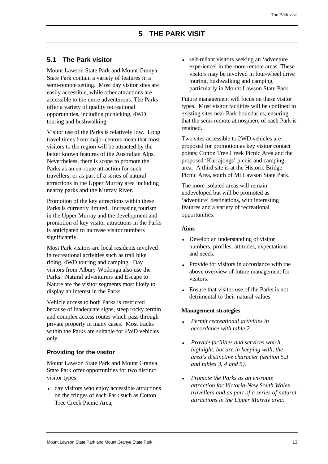## <span id="page-21-1"></span><span id="page-21-0"></span>**5.1 The Park visitor**

Mount Lawson State Park and Mount Granya State Park contain a variety of features in a semi-remote setting. Most day visitor sites are easily accessible, while other attractions are accessible to the more adventurous. The Parks offer a variety of quality recreational opportunities, including picnicking, 4WD touring and bushwalking.

Visitor use of the Parks is relatively low. Long travel times from major centres mean that most visitors to the region will be attracted by the better known features of the Australian Alps. Nevertheless, there is scope to promote the Parks as an en-route attraction for such travellers, or as part of a series of natural attractions in the Upper Murray area including nearby parks and the Murray River.

Promotion of the key attractions within these Parks is currently limited. Increasing tourism in the Upper Murray and the development and promotion of key visitor attractions in the Parks is anticipated to increase visitor numbers significantly.

Most Park visitors are local residents involved in recreational activities such as trail bike riding, 4WD touring and camping. Day visitors from Albury-Wodonga also use the Parks. Natural adventurers and Escape to Nature are the visitor segments most likely to display an interest in the Parks.

Vehicle access to both Parks is restricted because of inadequate signs, steep rocky terrain and complex access routes which pass through private property in many cases. Most tracks within the Parks are suitable for 4WD vehicles only.

## **Providing for the visitor**

Mount Lawson State Park and Mount Granya State Park offer opportunities for two distinct visitor types:

• day visitors who enjoy accessible attractions on the fringes of each Park such as Cotton Tree Creek Picnic Area;

• self-reliant visitors seeking an 'adventure experience' in the more remote areas. These visitors may be involved in four-wheel drive touring, bushwalking and camping, particularly in Mount Lawson State Park.

Future management will focus on these visitor types. Most visitor facilities will be confined to existing sites near Park boundaries, ensuring that the semi-remote atmosphere of each Park is retained.

Two sites accessible to 2WD vehicles are proposed for promotion as key visitor contact points; Cotton Tree Creek Picnic Area and the proposed 'Kurrajongs' picnic and camping area. A third site is at the Historic Bridge Picnic Area, south of Mt Lawson State Park.

The more isolated areas will remain undeveloped but will be promoted as 'adventure' destinations, with interesting features and a variety of recreational opportunities.

#### **Aims**

- Develop an understanding of visitor numbers, profiles, attitudes, expectations and needs.
- Provide for visitors in accordance with the above overview of future management for visitors.
- Ensure that visitor use of the Parks is not detrimental to their natural values.

- *Permit recreational activities in accordance with table 2.*
- *Provide facilities and services which highlight, but are in keeping with, the area's distinctive character (section 5.3 and tables 3, 4 and 5).*
- *Promote the Parks as an en-route attraction for Victoria-New South Wales travellers and as part of a series of natural attractions in the Upper Murray area.*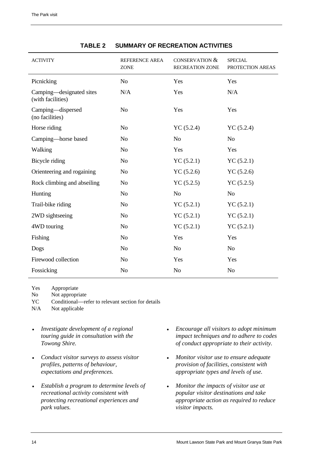| <b>ACTIVITY</b>                               | CONSERVATION &<br>REFERENCE AREA<br><b>RECREATION ZONE</b><br><b>ZONE</b> |                | <b>SPECIAL</b><br>PROTECTION AREAS |
|-----------------------------------------------|---------------------------------------------------------------------------|----------------|------------------------------------|
| Picnicking                                    | N <sub>o</sub>                                                            | Yes            | Yes                                |
| Camping—designated sites<br>(with facilities) | N/A                                                                       | Yes            | N/A                                |
| Camping-dispersed<br>(no facilities)          | N <sub>o</sub>                                                            | Yes            | Yes                                |
| Horse riding                                  | N <sub>o</sub>                                                            | YC (5.2.4)     | YC (5.2.4)                         |
| Camping—horse based                           | N <sub>o</sub>                                                            | N <sub>o</sub> | N <sub>o</sub>                     |
| Walking                                       | N <sub>o</sub>                                                            | Yes            | Yes                                |
| Bicycle riding                                | N <sub>o</sub>                                                            | YC (5.2.1)     | YC(5.2.1)                          |
| Orienteering and rogaining                    | N <sub>o</sub>                                                            | YC(5.2.6)      | YC(5.2.6)                          |
| Rock climbing and abseiling                   | N <sub>o</sub>                                                            | YC (5.2.5)     | YC (5.2.5)                         |
| Hunting                                       | N <sub>o</sub>                                                            | N <sub>o</sub> | N <sub>o</sub>                     |
| Trail-bike riding                             | N <sub>o</sub>                                                            | YC(5.2.1)      | YC(5.2.1)                          |
| 2WD sightseeing                               | N <sub>o</sub>                                                            | YC(5.2.1)      | YC(5.2.1)                          |
| 4WD touring                                   | N <sub>o</sub>                                                            | YC(5.2.1)      | YC (5.2.1)                         |
| Fishing                                       | N <sub>o</sub>                                                            | Yes            | Yes                                |
| Dogs                                          | N <sub>o</sub>                                                            | N <sub>o</sub> | N <sub>o</sub>                     |
| Firewood collection                           | N <sub>o</sub>                                                            | Yes            | Yes                                |
| Fossicking                                    | N <sub>o</sub>                                                            | N <sub>o</sub> | N <sub>o</sub>                     |

## **TABLE 2 SUMMARY OF RECREATION ACTIVITIES**

Yes Appropriate

No Not appropriate

YC Conditional—refer to relevant section for details

N/A Not applicable

- *Investigate development of a regional touring guide in consultation with the Towong Shire.*
- *Conduct visitor surveys to assess visitor profiles, patterns of behaviour, expectations and preferences.*
- *Establish a program to determine levels of recreational activity consistent with protecting recreational experiences and park values.*
- *Encourage all visitors to adopt minimum impact techniques and to adhere to codes of conduct appropriate to their activity.*
- *Monitor visitor use to ensure adequate provision of facilities, consistent with appropriate types and levels of use.*
- *Monitor the impacts of visitor use at popular visitor destinations and take appropriate action as required to reduce visitor impacts.*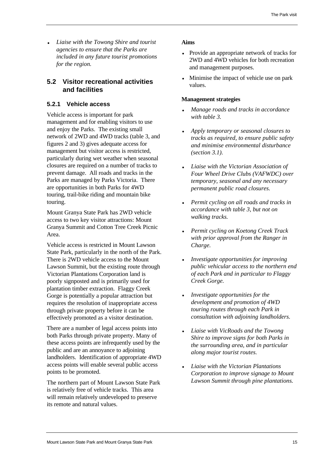• *Liaise with the Towong Shire and tourist agencies to ensure that the Parks are included in any future tourist promotions for the region.*

## <span id="page-23-0"></span>**5.2 Visitor recreational activities and facilities**

## <span id="page-23-1"></span>**5.2.1 Vehicle access**

Vehicle access is important for park management and for enabling visitors to use and enjoy the Parks. The existing small network of 2WD and 4WD tracks (table 3, and figures 2 and 3) gives adequate access for management but visitor access is restricted, particularly during wet weather when seasonal closures are required on a number of tracks to prevent damage. All roads and tracks in the Parks are managed by Parks Victoria. There are opportunities in both Parks for 4WD touring, trail-bike riding and mountain bike touring.

Mount Granya State Park has 2WD vehicle access to two key visitor attractions: Mount Granya Summit and Cotton Tree Creek Picnic Area.

Vehicle access is restricted in Mount Lawson State Park, particularly in the north of the Park. There is 2WD vehicle access to the Mount Lawson Summit, but the existing route through Victorian Plantations Corporation land is poorly signposted and is primarily used for plantation timber extraction. Flaggy Creek Gorge is potentially a popular attraction but requires the resolution of inappropriate access through private property before it can be effectively promoted as a visitor destination.

There are a number of legal access points into both Parks through private property. Many of these access points are infrequently used by the public and are an annoyance to adjoining landholders. Identification of appropriate 4WD access points will enable several public access points to be promoted.

The northern part of Mount Lawson State Park is relatively free of vehicle tracks. This area will remain relatively undeveloped to preserve its remote and natural values.

## **Aims**

- Provide an appropriate network of tracks for 2WD and 4WD vehicles for both recreation and management purposes.
- Minimise the impact of vehicle use on park values.

- *Manage roads and tracks in accordance with table 3.*
- *Apply temporary or seasonal closures to tracks as required, to ensure public safety and minimise environmental disturbance (section 3.1).*
- *Liaise with the Victorian Association of Four Wheel Drive Clubs (VAFWDC) over temporary, seasonal and any necessary permanent public road closures.*
- *Permit cycling on all roads and tracks in accordance with table 3, but not on walking tracks.*
- *Permit cycling on Koetong Creek Track with prior approval from the Ranger in Charge.*
- *Investigate opportunities for improving public vehicular access to the northern end of each Park and in particular to Flaggy Creek Gorge.*
- *Investigate opportunities for the development and promotion of 4WD touring routes through each Park in consultation with adjoining landholders.*
- *Liaise with VicRoads and the Towong Shire to improve signs for both Parks in the surrounding area, and in particular along major tourist routes.*
- *Liaise with the Victorian Plantations Corporation to improve signage to Mount Lawson Summit through pine plantations.*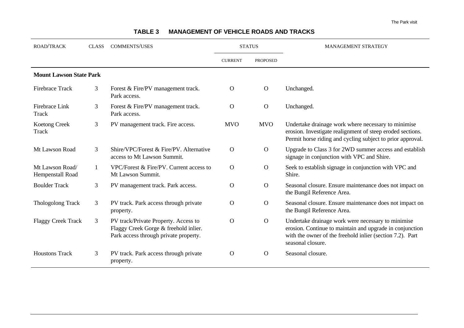<span id="page-24-0"></span>

| ROAD/TRACK                          | <b>CLASS</b> | <b>COMMENTS/USES</b>                                                                                                   | <b>STATUS</b>  |                 | MANAGEMENT STRATEGY                                                                                                                                                                              |
|-------------------------------------|--------------|------------------------------------------------------------------------------------------------------------------------|----------------|-----------------|--------------------------------------------------------------------------------------------------------------------------------------------------------------------------------------------------|
|                                     |              |                                                                                                                        | <b>CURRENT</b> | <b>PROPOSED</b> |                                                                                                                                                                                                  |
| <b>Mount Lawson State Park</b>      |              |                                                                                                                        |                |                 |                                                                                                                                                                                                  |
| <b>Firebrace Track</b>              | 3            | Forest & Fire/PV management track.<br>Park access.                                                                     | $\Omega$       | $\mathbf{O}$    | Unchanged.                                                                                                                                                                                       |
| Firebrace Link<br>Track             | 3            | Forest & Fire/PV management track.<br>Park access.                                                                     | $\mathbf{O}$   | $\mathbf{O}$    | Unchanged.                                                                                                                                                                                       |
| <b>Koetong Creek</b><br>Track       | 3            | PV management track. Fire access.                                                                                      | <b>MVO</b>     | <b>MVO</b>      | Undertake drainage work where necessary to minimise<br>erosion. Investigate realignment of steep eroded sections.<br>Permit horse riding and cycling subject to prior approval.                  |
| Mt Lawson Road                      | 3            | Shire/VPC/Forest & Fire/PV. Alternative<br>access to Mt Lawson Summit.                                                 | $\Omega$       | $\mathbf{O}$    | Upgrade to Class 3 for 2WD summer access and establish<br>signage in conjunction with VPC and Shire.                                                                                             |
| Mt Lawson Road/<br>Hempenstall Road |              | VPC/Forest & Fire/PV. Current access to<br>Mt Lawson Summit.                                                           | $\mathbf{O}$   | $\mathbf{O}$    | Seek to establish signage in conjunction with VPC and<br>Shire.                                                                                                                                  |
| <b>Boulder Track</b>                | 3            | PV management track. Park access.                                                                                      | $\Omega$       | $\mathbf{O}$    | Seasonal closure. Ensure maintenance does not impact on<br>the Bungil Reference Area.                                                                                                            |
| <b>Thologolong Track</b>            | 3            | PV track. Park access through private<br>property.                                                                     | $\Omega$       | $\mathbf{O}$    | Seasonal closure. Ensure maintenance does not impact on<br>the Bungil Reference Area.                                                                                                            |
| <b>Flaggy Creek Track</b>           | 3            | PV track/Private Property. Access to<br>Flaggy Creek Gorge & freehold inlier.<br>Park access through private property. | $\Omega$       | $\mathbf{O}$    | Undertake drainage work were necessary to minimise<br>erosion. Continue to maintain and upgrade in conjunction<br>with the owner of the freehold inlier (section 7.2). Part<br>seasonal closure. |
| <b>Houstons Track</b>               | 3            | PV track. Park access through private<br>property.                                                                     | $\mathbf{O}$   | $\mathbf{O}$    | Seasonal closure.                                                                                                                                                                                |

## **TABLE 3 MANAGEMENT OF VEHICLE ROADS AND TRACKS**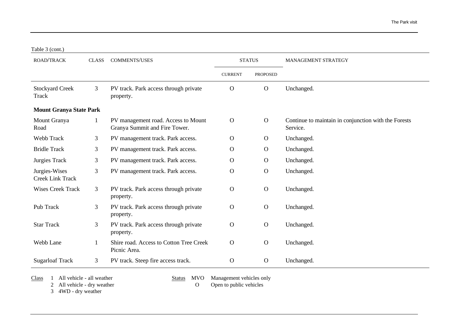Table 3 (cont.)

| <b>ROAD/TRACK</b>                        | <b>CLASS</b> | <b>COMMENTS/USES</b>                                                 | <b>STATUS</b>  |                 | MANAGEMENT STRATEGY                                              |
|------------------------------------------|--------------|----------------------------------------------------------------------|----------------|-----------------|------------------------------------------------------------------|
|                                          |              |                                                                      | <b>CURRENT</b> | <b>PROPOSED</b> |                                                                  |
| <b>Stockyard Creek</b><br>Track          | 3            | PV track. Park access through private<br>property.                   | $\mathbf{O}$   | $\mathbf{O}$    | Unchanged.                                                       |
| <b>Mount Granya State Park</b>           |              |                                                                      |                |                 |                                                                  |
| Mount Granya<br>Road                     | 1            | PV management road. Access to Mount<br>Granya Summit and Fire Tower. | $\mathbf{O}$   | $\mathbf{O}$    | Continue to maintain in conjunction with the Forests<br>Service. |
| Webb Track                               | 3            | PV management track. Park access.                                    | $\mathbf{O}$   | $\mathbf O$     | Unchanged.                                                       |
| <b>Bridle Track</b>                      | 3            | PV management track. Park access.                                    | $\mathbf{O}$   | $\mathbf{O}$    | Unchanged.                                                       |
| Jurgies Track                            | 3            | PV management track. Park access.                                    | $\Omega$       | $\mathbf{O}$    | Unchanged.                                                       |
| Jurgies-Wises<br><b>Creek Link Track</b> | 3            | PV management track. Park access.                                    | $\mathbf{O}$   | $\mathbf O$     | Unchanged.                                                       |
| <b>Wises Creek Track</b>                 | 3            | PV track. Park access through private<br>property.                   | $\mathbf{O}$   | $\mathbf{O}$    | Unchanged.                                                       |
| Pub Track                                | 3            | PV track. Park access through private<br>property.                   | $\mathbf{O}$   | $\mathbf O$     | Unchanged.                                                       |
| <b>Star Track</b>                        | 3            | PV track. Park access through private<br>property.                   | $\mathbf{O}$   | $\mathbf O$     | Unchanged.                                                       |
| Webb Lane                                | 1            | Shire road. Access to Cotton Tree Creek<br>Picnic Area.              | $\mathbf{O}$   | $\mathbf O$     | Unchanged.                                                       |
| <b>Sugarloaf Track</b>                   | 3            | PV track. Steep fire access track.                                   | $\mathbf{O}$   | $\mathbf{O}$    | Unchanged.                                                       |

Class 1 All vehicle - all weather Status MVO Management vehicles only<br>2 All vehicle - dry weather O Open to public vehicles

2 All vehicle - dry weather O

3 4WD - dry weather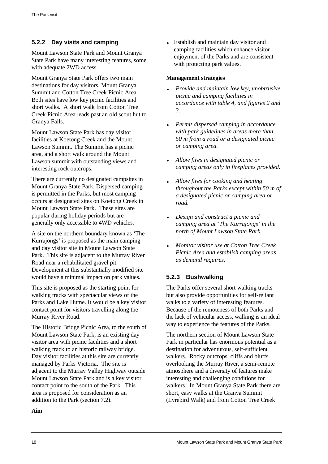## <span id="page-26-0"></span>**5.2.2 Day visits and camping**

Mount Lawson State Park and Mount Granya State Park have many interesting features, some with adequate 2WD access.

Mount Granya State Park offers two main destinations for day visitors, Mount Granya Summit and Cotton Tree Creek Picnic Area. Both sites have low key picnic facilities and short walks. A short walk from Cotton Tree Creek Picnic Area leads past an old scout hut to Granya Falls.

Mount Lawson State Park has day visitor facilities at Koetong Creek and the Mount Lawson Summit. The Summit has a picnic area, and a short walk around the Mount Lawson summit with outstanding views and interesting rock outcrops.

<span id="page-26-1"></span>There are currently no designated campsites in Mount Granya State Park. Dispersed camping is permitted in the Parks, but most camping occurs at designated sites on Koetong Creek in Mount Lawson State Park. These sites are popular during holiday periods but are generally only accessible to 4WD vehicles.

A site on the northern boundary known as 'The Kurrajongs' is proposed as the main camping and day visitor site in Mount Lawson State Park. This site is adjacent to the Murray River Road near a rehabilitated gravel pit. Development at this substantially modified site would have a minimal impact on park values.

This site is proposed as the starting point for walking tracks with spectacular views of the Parks and Lake Hume. It would be a key visitor contact point for visitors travelling along the Murray River Road.

The Historic Bridge Picnic Area, to the south of Mount Lawson State Park, is an existing day visitor area with picnic facilities and a short walking track to an historic railway bridge. Day visitor facilities at this site are currently managed by Parks Victoria. The site is adjacent to the Murray Valley Highway outside Mount Lawson State Park and is a key visitor contact point to the south of the Park. This area is proposed for consideration as an addition to the Park (section 7.2).

• Establish and maintain day visitor and camping facilities which enhance visitor enjoyment of the Parks and are consistent with protecting park values.

#### **Management strategies**

- *Provide and maintain low key, unobtrusive picnic and camping facilities in accordance with table 4, and figures 2 and 3.*
- *Permit dispersed camping in accordance with park guidelines in areas more than 50 m from a road or a designated picnic or camping area.*
- *Allow fires in designated picnic or camping areas only in fireplaces provided.*
- *Allow fires for cooking and heating throughout the Parks except within 50 m of a designated picnic or camping area or road.*
- *Design and construct a picnic and camping area at 'The Kurrajongs' in the north of Mount Lawson State Park.*
- *Monitor visitor use at Cotton Tree Creek Picnic Area and establish camping areas as demand requires.*

## **5.2.3 Bushwalking**

The Parks offer several short walking tracks but also provide opportunities for self-reliant walks to a variety of interesting features. Because of the remoteness of both Parks and the lack of vehicular access, walking is an ideal way to experience the features of the Parks.

The northern section of Mount Lawson State Park in particular has enormous potential as a destination for adventurous, self-sufficient walkers. Rocky outcrops, cliffs and bluffs overlooking the Murray River, a semi-remote atmosphere and a diversity of features make interesting and challenging conditions for walkers. In Mount Granya State Park there are short, easy walks at the Granya Summit (Lyrebird Walk) and from Cotton Tree Creek

#### **Aim**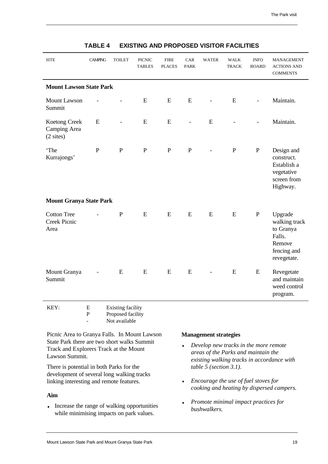| <b>SITE</b>                                          | <b>CAMPING</b> | <b>TOILET</b>              | <b>PICNIC</b><br><b>TABLES</b> | <b>FIRE</b><br><b>PLACES</b> | CAR<br><b>PARK</b>       | <b>WATER</b>   | <b>WALK</b><br><b>TRACK</b> | <b>INFO</b><br><b>BOARD</b> | MANAGEMENT<br><b>ACTIONS AND</b><br><b>COMMENTS</b>                                     |
|------------------------------------------------------|----------------|----------------------------|--------------------------------|------------------------------|--------------------------|----------------|-----------------------------|-----------------------------|-----------------------------------------------------------------------------------------|
| <b>Mount Lawson State Park</b>                       |                |                            |                                |                              |                          |                |                             |                             |                                                                                         |
| <b>Mount Lawson</b><br>Summit                        |                |                            | E                              | ${\bf E}$                    | ${\bf E}$                | $\blacksquare$ | E                           | $\frac{1}{2}$               | Maintain.                                                                               |
| Koetong Creek<br>Camping Area<br>$(2 \text{ sites})$ | E              | $\overline{\phantom{a}}$   | E                              | ${\bf E}$                    | $\overline{\phantom{a}}$ | ${\bf E}$      | $\overline{\phantom{a}}$    | $\overline{\phantom{0}}$    | Maintain.                                                                               |
| 'The<br>Kurrajongs'                                  | $\mathbf{P}$   | ${\bf P}$                  | $\mathbf P$                    | ${\bf P}$                    | $\, {\bf P}$             | $\blacksquare$ | ${\bf P}$                   | $\, {\bf P}$                | Design and<br>construct.<br>Establish a<br>vegetative<br>screen from<br>Highway.        |
| <b>Mount Granya State Park</b>                       |                |                            |                                |                              |                          |                |                             |                             |                                                                                         |
| <b>Cotton Tree</b><br><b>Creek Picnic</b><br>Area    |                | $\mathbf{P}$               | E                              | E                            | E                        | E              | ${\bf E}$                   | ${\bf P}$                   | Upgrade<br>walking track<br>to Granya<br>Falls.<br>Remove<br>fencing and<br>revegetate. |
| Mount Granya<br>Summit                               |                | ${\bf E}$<br>—<br><b>A</b> | E                              | ${\bf E}$                    | ${\bf E}$                | $\blacksquare$ | ${\bf E}$                   | ${\bf E}$                   | Revegetate<br>and maintain<br>weed control<br>program.                                  |

## **TABLE 4 EXISTING AND PROPOSED VISITOR FACILITIES**

| KEY: | E | Existing facility |
|------|---|-------------------|
|      | P | Proposed facility |
|      |   | Not available     |

Picnic Area to Granya Falls. In Mount Lawson State Park there are two short walks Summit Track and Explorers Track at the Mount Lawson Summit.

There is potential in both Parks for the development of several long walking tracks linking interesting and remote features.

#### **Aim**

• Increase the range of walking opportunities while minimising impacts on park values.

- *Develop new tracks in the more remote areas of the Parks and maintain the existing walking tracks in accordance with table 5 (section 3.1).*
- *Encourage the use of fuel stoves for cooking and heating by dispersed campers.*
- *Promote minimal impact practices for bushwalkers.*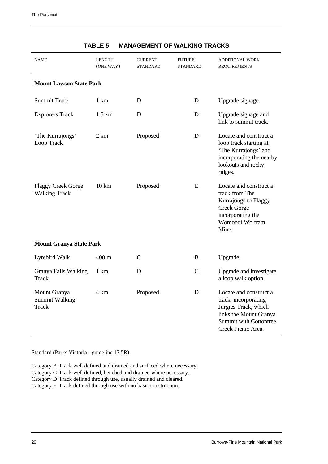<span id="page-28-0"></span>

| <b>NAME</b>                                       | <b>LENGTH</b><br>(ONE WAY) | <b>CURRENT</b><br><b>STANDARD</b> | <b>FUTURE</b><br>STANDARD | ADDITIONAL WORK<br><b>REQUIREMENTS</b>                                                                                                                  |  |  |  |  |
|---------------------------------------------------|----------------------------|-----------------------------------|---------------------------|---------------------------------------------------------------------------------------------------------------------------------------------------------|--|--|--|--|
| <b>Mount Lawson State Park</b>                    |                            |                                   |                           |                                                                                                                                                         |  |  |  |  |
| <b>Summit Track</b>                               | 1 km                       | D                                 | D                         | Upgrade signage.                                                                                                                                        |  |  |  |  |
| <b>Explorers Track</b>                            | $1.5 \mathrm{km}$          | D                                 | D                         | Upgrade signage and<br>link to summit track.                                                                                                            |  |  |  |  |
| 'The Kurrajongs'<br>Loop Track                    | 2 km                       | Proposed                          | D                         | Locate and construct a<br>loop track starting at<br>'The Kurrajongs' and<br>incorporating the nearby<br>lookouts and rocky<br>ridges.                   |  |  |  |  |
| <b>Flaggy Creek Gorge</b><br><b>Walking Track</b> | $10 \mathrm{km}$           | Proposed                          | E                         | Locate and construct a<br>track from The<br><b>Kurrajongs to Flaggy</b><br>Creek Gorge<br>incorporating the<br>Womoboi Wolfram<br>Mine.                 |  |  |  |  |
| <b>Mount Granya State Park</b>                    |                            |                                   |                           |                                                                                                                                                         |  |  |  |  |
| Lyrebird Walk                                     | 400 m                      | C                                 | B                         | Upgrade.                                                                                                                                                |  |  |  |  |
| Granya Falls Walking<br>Track                     | 1 km                       | D                                 | $\mathsf{C}$              | Upgrade and investigate<br>a loop walk option.                                                                                                          |  |  |  |  |
| Mount Granya<br><b>Summit Walking</b><br>Track    | 4 km                       | Proposed                          | D                         | Locate and construct a<br>track, incorporating<br>Jurgies Track, which<br>links the Mount Granya<br><b>Summit with Cottontree</b><br>Creek Picnic Area. |  |  |  |  |

Standard (Parks Victoria - guideline 17.5R)

Category B Track well defined and drained and surfaced where necessary.

Category C Track well defined, benched and drained where necessary.

Category D Track defined through use, usually drained and cleared.

Category E Track defined through use with no basic construction.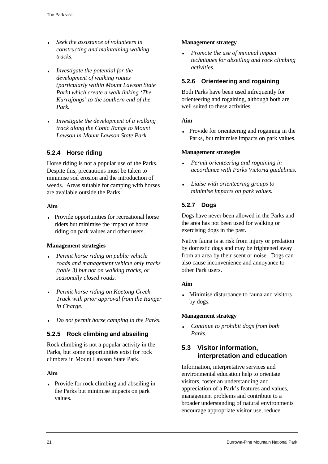- *Seek the assistance of volunteers in constructing and maintaining walking tracks.*
- <span id="page-29-2"></span>• *Investigate the potential for the development of walking routes (particularly within Mount Lawson State Park) which create a walk linking 'The Kurrajongs' to the southern end of the Park.*
- *Investigate the development of a walking track along the Conic Range to Mount Lawson in Mount Lawson State Park.*

## <span id="page-29-0"></span>**5.2.4 Horse riding**

Horse riding is not a popular use of the Parks. Despite this, precautions must be taken to minimise soil erosion and the introduction of weeds. Areas suitable for camping with horses are available outside the Parks.

#### <span id="page-29-1"></span>**Aim**

• Provide opportunities for recreational horse riders but minimise the impact of horse riding on park values and other users.

## **Management strategies**

- *Permit horse riding on public vehicle roads and management vehicle only tracks (table 3) but not on walking tracks, or seasonally closed roads.*
- *Permit horse riding on Koetong Creek Track with prior approval from the Ranger in Charge.*
- *Do not permit horse camping in the Parks.*

## **5.2.5 Rock climbing and abseiling**

Rock climbing is not a popular activity in the Parks, but some opportunities exist for rock climbers in Mount Lawson State Park.

## **Aim**

• Provide for rock climbing and abseiling in the Parks but minimise impacts on park values.

#### **Management strategy**

• *Promote the use of minimal impact techniques for abseiling and rock climbing activities.*

## **5.2.6 Orienteering and rogaining**

Both Parks have been used infrequently for orienteering and rogaining, although both are well suited to these activities.

#### **Aim**

• Provide for orienteering and rogaining in the Parks, but minimise impacts on park values.

#### **Management strategies**

- *Permit orienteering and rogaining in accordance with Parks Victoria guidelines.*
- *Liaise with orienteering groups to minimise impacts on park values.*

## **5.2.7 Dogs**

Dogs have never been allowed in the Parks and the area has not been used for walking or exercising dogs in the past.

Native fauna is at risk from injury or predation by domestic dogs and may be frightened away from an area by their scent or noise. Dogs can also cause inconvenience and annoyance to other Park users.

## **Aim**

• Minimise disturbance to fauna and visitors by dogs.

## **Management strategy**

• *Continue to prohibit dogs from both Parks.*

## **5.3 Visitor information, interpretation and education**

Information, interpretative services and environmental education help to orientate visitors, foster an understanding and appreciation of a Park's features and values, management problems and contribute to a broader understanding of natural environments encourage appropriate visitor use, reduce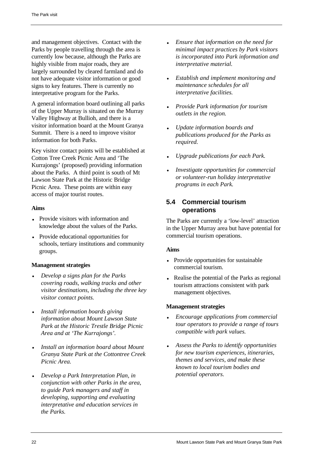and management objectives. Contact with the Parks by people travelling through the area is currently low because, although the Parks are highly visible from major roads, they are largely surrounded by cleared farmland and do not have adequate visitor information or good signs to key features. There is currently no interpretative program for the Parks.

A general information board outlining all parks of the Upper Murray is situated on the Murray Valley Highway at Bullioh, and there is a visitor information board at the Mount Granya Summit. There is a need to improve visitor information for both Parks.

Key visitor contact points will be established at Cotton Tree Creek Picnic Area and 'The Kurrajongs' (proposed) providing information about the Parks. A third point is south of Mt Lawson State Park at the Historic Bridge Picnic Area. These points are within easy access of major tourist routes.

#### <span id="page-30-0"></span>**Aims**

- Provide visitors with information and knowledge about the values of the Parks.
- Provide educational opportunities for schools, tertiary institutions and community groups.

#### **Management strategies**

- *Develop a signs plan for the Parks covering roads, walking tracks and other visitor destinations, including the three key visitor contact points.*
- *Install information boards giving information about Mount Lawson State Park at the Historic Trestle Bridge Picnic Area and at 'The Kurrajongs'.*
- *Install an information board about Mount Granya State Park at the Cottontree Creek Picnic Area.*
- *Develop a Park Interpretation Plan, in conjunction with other Parks in the area, to guide Park managers and staff in developing, supporting and evaluating interpretative and education services in the Parks.*
- *Ensure that information on the need for minimal impact practices by Park visitors is incorporated into Park information and interpretative material.*
- *Establish and implement monitoring and maintenance schedules for all interpretative facilities.*
- *Provide Park information for tourism outlets in the region.*
- *Update information boards and publications produced for the Parks as required.*
- *Upgrade publications for each Park.*
- *Investigate opportunities for commercial or volunteer-run holiday interpretative programs in each Park.*

## **5.4 Commercial tourism operations**

The Parks are currently a 'low-level' attraction in the Upper Murray area but have potential for commercial tourism operations.

#### **Aims**

- Provide opportunities for sustainable commercial tourism.
- Realise the potential of the Parks as regional tourism attractions consistent with park management objectives.

- *Encourage applications from commercial tour operators to provide a range of tours compatible with park values.*
- *Assess the Parks to identify opportunities for new tourism experiences, itineraries, themes and services, and make these known to local tourism bodies and potential operators.*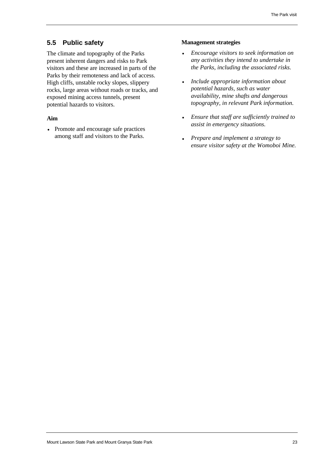## <span id="page-31-0"></span>**5.5 Public safety**

The climate and topography of the Parks present inherent dangers and risks to Park visitors and these are increased in parts of the Parks by their remoteness and lack of access. High cliffs, unstable rocky slopes, slippery rocks, large areas without roads or tracks, and exposed mining access tunnels, present potential hazards to visitors.

#### **Aim**

• Promote and encourage safe practices among staff and visitors to the Parks.

- *Encourage visitors to seek information on any activities they intend to undertake in the Parks, including the associated risks.*
- *Include appropriate information about potential hazards, such as water availability, mine shafts and dangerous topography, in relevant Park information.*
- *Ensure that staff are sufficiently trained to assist in emergency situations.*
- *Prepare and implement a strategy to ensure visitor safety at the Womoboi Mine.*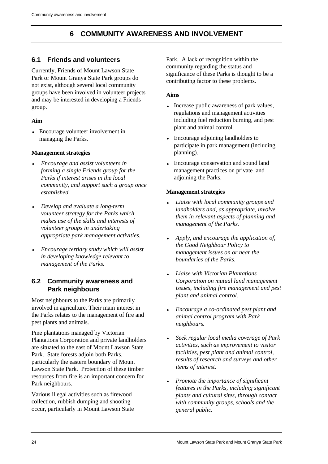## **6 COMMUNITY AWARENESS AND INVOLVEMENT**

## <span id="page-32-1"></span><span id="page-32-0"></span>**6.1 Friends and volunteers**

Currently, Friends of Mount Lawson State Park or Mount Granya State Park groups do not exist, although several local community groups have been involved in volunteer projects and may be interested in developing a Friends group.

## **Aim**

• Encourage volunteer involvement in managing the Parks.

## **Management strategies**

- *Encourage and assist volunteers in forming a single Friends group for the Parks if interest arises in the local community, and support such a group once established.*
- <span id="page-32-2"></span>• *Develop and evaluate a long-term volunteer strategy for the Parks which makes use of the skills and interests of volunteer groups in undertaking appropriate park management activities.*
- *Encourage tertiary study which will assist in developing knowledge relevant to management of the Parks.*

## **6.2 Community awareness and Park neighbours**

Most neighbours to the Parks are primarily involved in agriculture. Their main interest in the Parks relates to the management of fire and pest plants and animals.

Pine plantations managed by Victorian Plantations Corporation and private landholders are situated to the east of Mount Lawson State Park. State forests adjoin both Parks, particularly the eastern boundary of Mount Lawson State Park. Protection of these timber resources from fire is an important concern for Park neighbours.

Various illegal activities such as firewood collection, rubbish dumping and shooting occur, particularly in Mount Lawson State

Park. A lack of recognition within the community regarding the status and significance of these Parks is thought to be a contributing factor to these problems.

## **Aims**

- Increase public awareness of park values, regulations and management activities including fuel reduction burning, and pest plant and animal control.
- Encourage adjoining landholders to participate in park management (including planning).
- Encourage conservation and sound land management practices on private land adjoining the Parks.

- *Liaise with local community groups and landholders and, as appropriate, involve them in relevant aspects of planning and management of the Parks.*
- *Apply, and encourage the application of, the Good Neighbour Policy to management issues on or near the boundaries of the Parks.*
- *Liaise with Victorian Plantations Corporation on mutual land management issues, including fire management and pest plant and animal control.*
- *Encourage a co-ordinated pest plant and animal control program with Park neighbours.*
- *Seek regular local media coverage of Park activities, such as improvement to visitor facilities, pest plant and animal control, results of research and surveys and other items of interest.*
- *Promote the importance of significant features in the Parks, including significant plants and cultural sites, through contact with community groups, schools and the general public.*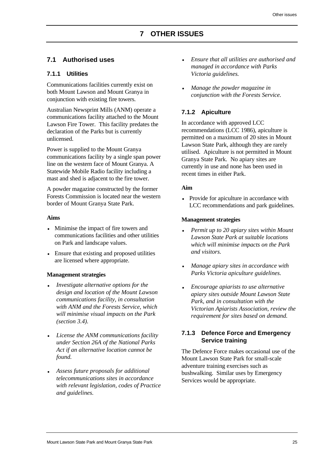## <span id="page-33-1"></span><span id="page-33-0"></span>**7.1 Authorised uses**

## **7.1.1 Utilities**

Communications facilities currently exist on both Mount Lawson and Mount Granya in conjunction with existing fire towers.

Australian Newsprint Mills (ANM) operate a communications facility attached to the Mount Lawson Fire Tower. This facility predates the declaration of the Parks but is currently unlicensed.

Power is supplied to the Mount Granya communications facility by a single span power line on the western face of Mount Granya. A Statewide Mobile Radio facility including a mast and shed is adjacent to the fire tower.

A powder magazine constructed by the former Forests Commission is located near the western border of Mount Granya State Park.

#### **Aims**

- Minimise the impact of fire towers and communications facilities and other utilities on Park and landscape values.
- Ensure that existing and proposed utilities are licensed where appropriate.

#### **Management strategies**

- *Investigate alternative options for the design and location of the Mount Lawson communications facility, in consultation with ANM and the Forests Service, which will minimise visual impacts on the Park (section 3.4).*
- *License the ANM communications facility under Section 26A of the National Parks Act if an alternative location cannot be found.*
- *Assess future proposals for additional telecommunications sites in accordance with relevant legislation, codes of Practice and guidelines.*
- *Ensure that all utilities are authorised and managed in accordance with Parks Victoria guidelines.*
- *Manage the powder magazine in conjunction with the Forests Service.*

## **7.1.2 Apiculture**

In accordance with approved LCC recommendations (LCC 1986), apiculture is permitted on a maximum of 20 sites in Mount Lawson State Park, although they are rarely utilised. Apiculture is not permitted in Mount Granya State Park. No apiary sites are currently in use and none has been used in recent times in either Park.

#### **Aim**

• Provide for apiculture in accordance with LCC recommendations and park guidelines.

#### **Management strategies**

- *Permit up to 20 apiary sites within Mount Lawson State Park at suitable locations which will minimise impacts on the Park and visitors.*
- *Manage apiary sites in accordance with Parks Victoria apiculture guidelines.*
- *Encourage apiarists to use alternative apiary sites outside Mount Lawson State Park, and in consultation with the Victorian Apiarists Association, review the requirement for sites based on demand.*

#### **7.1.3 Defence Force and Emergency Service training**

The Defence Force makes occasional use of the Mount Lawson State Park for small-scale adventure training exercises such as bushwalking. Similar uses by Emergency Services would be appropriate.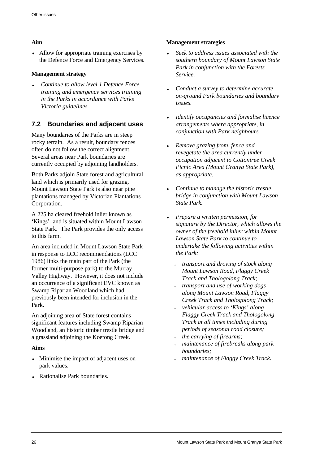## **Aim**

• Allow for appropriate training exercises by the Defence Force and Emergency Services.

## **Management strategy**

• *Continue to allow level 1 Defence Force training and emergency services training in the Parks in accordance with Parks Victoria guidelines.*

## <span id="page-34-0"></span>**7.2 Boundaries and adjacent uses**

Many boundaries of the Parks are in steep rocky terrain. As a result, boundary fences often do not follow the correct alignment. Several areas near Park boundaries are currently occupied by adjoining landholders.

Both Parks adjoin State forest and agricultural land which is primarily used for grazing. Mount Lawson State Park is also near pine plantations managed by Victorian Plantations Corporation.

A 225 ha cleared freehold inlier known as 'Kings' land is situated within Mount Lawson State Park. The Park provides the only access to this farm.

An area included in Mount Lawson State Park in response to LCC recommendations (LCC 1986) links the main part of the Park (the former multi-purpose park) to the Murray Valley Highway. However, it does not include an occurrence of a significant EVC known as Swamp Riparian Woodland which had previously been intended for inclusion in the Park.

An adjoining area of State forest contains significant features including Swamp Riparian Woodland, an historic timber trestle bridge and a grassland adjoining the Koetong Creek.

#### **Aims**

- Minimise the impact of adjacent uses on park values.
- Rationalise Park boundaries.

- *Seek to address issues associated with the southern boundary of Mount Lawson State Park in conjunction with the Forests Service.*
- *Conduct a survey to determine accurate on-ground Park boundaries and boundary issues.*
- *Identify occupancies and formalise licence arrangements where appropriate, in conjunction with Park neighbours.*
- *Remove grazing from, fence and revegetate the area currently under occupation adjacent to Cottontree Creek Picnic Area (Mount Granya State Park), as appropriate.*
- *Continue to manage the historic trestle bridge in conjunction with Mount Lawson State Park.*
- *Prepare a written permission, for signature by the Director, which allows the owner of the freehold inlier within Mount Lawson State Park to continue to undertake the following activities within the Park:*
	- *transport and droving of stock along Mount Lawson Road, Flaggy Creek Track and Thologolong Track;*
	- *transport and use of working dogs along Mount Lawson Road, Flaggy Creek Track and Thologolong Track;*
	- *vehicular access to 'Kings' along Flaggy Creek Track and Thologolong Track at all times including during periods of seasonal road closure;*
	- *the carrying of firearms;*
	- *maintenance of firebreaks along park boundaries;*
	- *maintenance of Flaggy Creek Track.*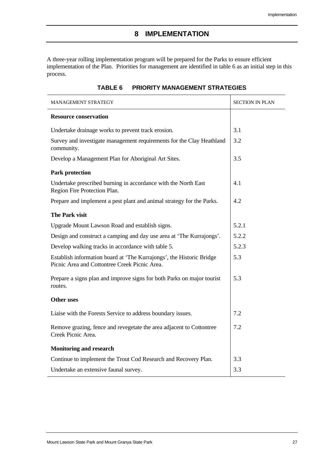## **8 IMPLEMENTATION**

<span id="page-35-0"></span>A three-year rolling implementation program will be prepared for the Parks to ensure efficient implementation of the Plan. Priorities for management are identified in table 6 as an initial step in this process.

<span id="page-35-1"></span>

| <b>MANAGEMENT STRATEGY</b>                                                                                            | <b>SECTION IN PLAN</b> |
|-----------------------------------------------------------------------------------------------------------------------|------------------------|
| <b>Resource conservation</b>                                                                                          |                        |
| Undertake drainage works to prevent track erosion.                                                                    | 3.1                    |
| Survey and investigate management requirements for the Clay Heathland<br>community.                                   | 3.2                    |
| Develop a Management Plan for Aboriginal Art Sites.                                                                   | 3.5                    |
| <b>Park protection</b>                                                                                                |                        |
| Undertake prescribed burning in accordance with the North East<br>Region Fire Protection Plan.                        | 4.1                    |
| Prepare and implement a pest plant and animal strategy for the Parks.                                                 | 4.2                    |
| <b>The Park visit</b>                                                                                                 |                        |
| Upgrade Mount Lawson Road and establish signs.                                                                        | 5.2.1                  |
| Design and construct a camping and day use area at 'The Kurrajongs'.                                                  | 5.2.2                  |
| Develop walking tracks in accordance with table 5.                                                                    | 5.2.3                  |
| Establish information board at 'The Kurrajongs', the Historic Bridge<br>Picnic Area and Cottontree Creek Picnic Area. | 5.3                    |
| Prepare a signs plan and improve signs for both Parks on major tourist<br>routes.                                     | 5.3                    |
| Other uses                                                                                                            |                        |
| Liaise with the Forests Service to address boundary issues.                                                           | 7.2                    |
| Remove grazing, fence and revegetate the area adjacent to Cottontree<br>Creek Picnic Area.                            | 7.2                    |
| <b>Monitoring and research</b>                                                                                        |                        |
| Continue to implement the Trout Cod Research and Recovery Plan.                                                       | 3.3                    |
| Undertake an extensive faunal survey.                                                                                 | 3.3                    |

| TABLE 6 |  | <b>PRIORITY MANAGEMENT STRATEGIES</b> |  |
|---------|--|---------------------------------------|--|
|---------|--|---------------------------------------|--|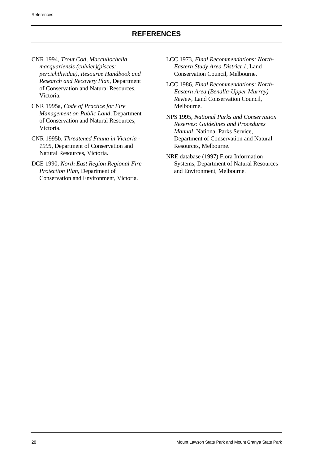- <span id="page-36-0"></span>CNR 1994, *Trout Cod, Maccullochella macquariensis (culvier)(pisces: percichthyidae), Resource Handbook and Research and Recovery Plan*, Department of Conservation and Natural Resources, Victoria.
- CNR 1995a, *Code of Practice for Fire Management on Public Land*, Department of Conservation and Natural Resources, Victoria.
- CNR 1995b, *Threatened Fauna in Victoria - 1995*, Department of Conservation and Natural Resources, Victoria.
- DCE 1990, *North East Region Regional Fire Protection Plan*, Department of Conservation and Environment, Victoria.
- LCC 1973, *Final Recommendations: North-Eastern Study Area District 1*, Land Conservation Council, Melbourne.
- LCC 1986, *Final Recommendations: North-Eastern Area (Benalla-Upper Murray) Review*, Land Conservation Council, Melbourne.
- NPS 1995, *National Parks and Conservation Reserves: Guidelines and Procedures Manual*, National Parks Service, Department of Conservation and Natural Resources, Melbourne.
- NRE database (1997) Flora Information Systems, Department of Natural Resources and Environment, Melbourne.